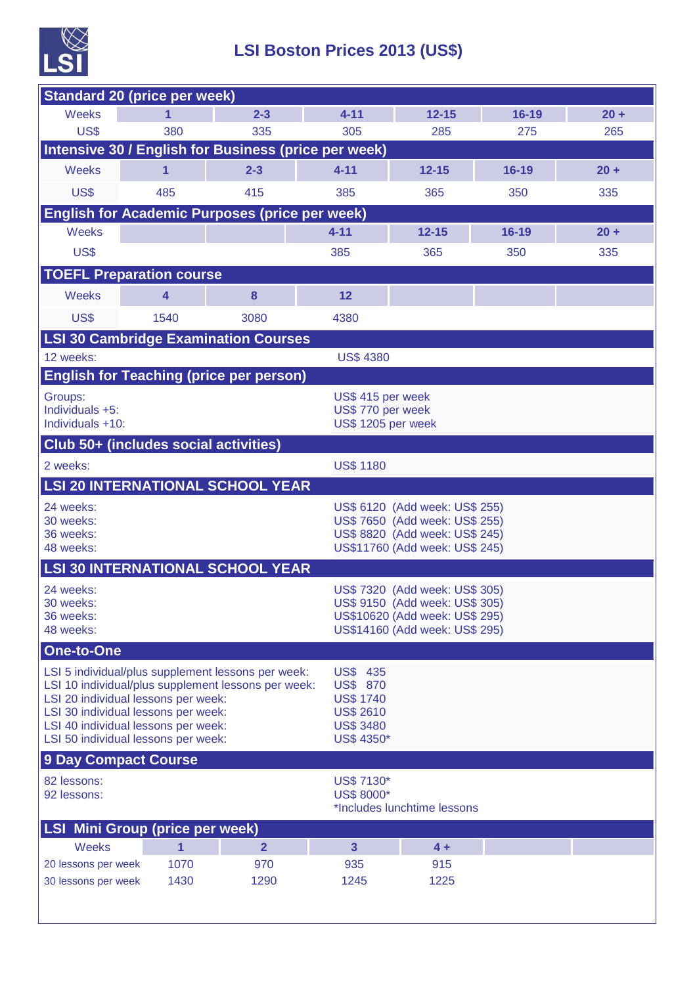

## **LSI Boston Prices 2013 (US\$)**

| <b>Standard 20 (price per week)</b>                                        |                         |                |                                      |                                                                  |           |        |  |
|----------------------------------------------------------------------------|-------------------------|----------------|--------------------------------------|------------------------------------------------------------------|-----------|--------|--|
| Weeks                                                                      | 1                       | $2 - 3$        | $4 - 11$                             | $12 - 15$                                                        | $16 - 19$ | $20 +$ |  |
| US\$                                                                       | 380                     | 335            | 305                                  | 285                                                              | 275       | 265    |  |
| Intensive 30 / English for Business (price per week)                       |                         |                |                                      |                                                                  |           |        |  |
| <b>Weeks</b>                                                               | 1                       | $2 - 3$        | $4 - 11$                             | $12 - 15$                                                        | $16 - 19$ | $20 +$ |  |
| US\$                                                                       | 485                     | 415            | 385                                  | 365                                                              | 350       | 335    |  |
| <b>English for Academic Purposes (price per week)</b>                      |                         |                |                                      |                                                                  |           |        |  |
| <b>Weeks</b>                                                               |                         |                | $4 - 11$                             | $12 - 15$                                                        | $16 - 19$ | $20 +$ |  |
| US\$                                                                       |                         |                | 385                                  | 365                                                              | 350       | 335    |  |
| <b>TOEFL Preparation course</b>                                            |                         |                |                                      |                                                                  |           |        |  |
| <b>Weeks</b>                                                               | $\overline{\mathbf{4}}$ | 8              | 12                                   |                                                                  |           |        |  |
| US\$                                                                       | 1540                    | 3080           | 4380                                 |                                                                  |           |        |  |
| <b>LSI 30 Cambridge Examination Courses</b>                                |                         |                |                                      |                                                                  |           |        |  |
| 12 weeks:                                                                  |                         |                | <b>US\$ 4380</b>                     |                                                                  |           |        |  |
| <b>English for Teaching (price per person)</b>                             |                         |                |                                      |                                                                  |           |        |  |
| Groups:                                                                    |                         |                |                                      | US\$ 415 per week                                                |           |        |  |
| Individuals +5:<br>Individuals +10:                                        |                         |                |                                      | US\$ 770 per week<br>US\$ 1205 per week                          |           |        |  |
| Club 50+ (includes social activities)                                      |                         |                |                                      |                                                                  |           |        |  |
| 2 weeks:                                                                   |                         |                | <b>US\$ 1180</b>                     |                                                                  |           |        |  |
| <b>LSI 20 INTERNATIONAL SCHOOL YEAR</b>                                    |                         |                |                                      |                                                                  |           |        |  |
| 24 weeks:                                                                  |                         |                |                                      | US\$ 6120 (Add week: US\$ 255)                                   |           |        |  |
| 30 weeks:                                                                  |                         |                |                                      | US\$ 7650 (Add week: US\$ 255)                                   |           |        |  |
| 36 weeks:<br>48 weeks:                                                     |                         |                |                                      | US\$ 8820 (Add week: US\$ 245)<br>US\$11760 (Add week: US\$ 245) |           |        |  |
| <b>LSI 30 INTERNATIONAL SCHOOL YEAR</b>                                    |                         |                |                                      |                                                                  |           |        |  |
| 24 weeks:                                                                  |                         |                |                                      | US\$ 7320 (Add week: US\$ 305)                                   |           |        |  |
| 30 weeks:                                                                  |                         |                |                                      | US\$ 9150 (Add week: US\$ 305)                                   |           |        |  |
| 36 weeks:<br>48 weeks:                                                     |                         |                |                                      | US\$10620 (Add week: US\$ 295)<br>US\$14160 (Add week: US\$ 295) |           |        |  |
| One-to-One                                                                 |                         |                |                                      |                                                                  |           |        |  |
| LSI 5 individual/plus supplement lessons per week:                         |                         |                | <b>US\$ 435</b>                      |                                                                  |           |        |  |
| LSI 10 individual/plus supplement lessons per week:                        |                         |                | <b>US\$ 870</b>                      |                                                                  |           |        |  |
| LSI 20 individual lessons per week:<br>LSI 30 individual lessons per week: |                         |                | <b>US\$ 1740</b><br><b>US\$ 2610</b> |                                                                  |           |        |  |
| LSI 40 individual lessons per week:                                        |                         |                | <b>US\$ 3480</b>                     |                                                                  |           |        |  |
| LSI 50 individual lessons per week:                                        |                         |                | US\$ 4350*                           |                                                                  |           |        |  |
| <b>9 Day Compact Course</b>                                                |                         |                |                                      |                                                                  |           |        |  |
| 82 lessons:<br>92 lessons:                                                 |                         |                | US\$ 7130*<br>US\$ 8000*             |                                                                  |           |        |  |
|                                                                            |                         |                |                                      | *Includes lunchtime lessons                                      |           |        |  |
| <b>LSI Mini Group (price per week)</b>                                     |                         |                |                                      |                                                                  |           |        |  |
| <b>Weeks</b>                                                               | $\mathbf{1}$            | $\overline{2}$ | $\overline{\mathbf{3}}$              | $4 +$                                                            |           |        |  |
| 20 lessons per week                                                        | 1070                    | 970            | 935                                  | 915                                                              |           |        |  |
| 30 lessons per week                                                        | 1430                    | 1290           | 1245                                 | 1225                                                             |           |        |  |
|                                                                            |                         |                |                                      |                                                                  |           |        |  |